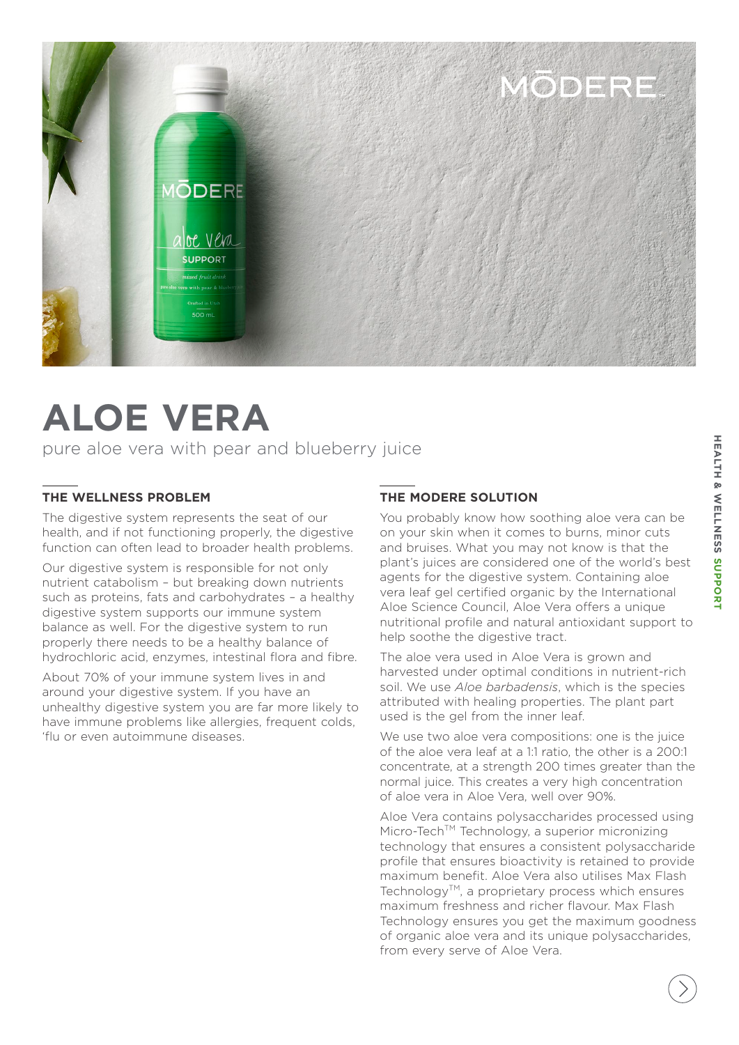

## **ALOE VERA**

pure aloe vera with pear and blueberry juice

## **THE WELLNESS PROBLEM**

The digestive system represents the seat of our health, and if not functioning properly, the digestive function can often lead to broader health problems.

Our digestive system is responsible for not only nutrient catabolism – but breaking down nutrients such as proteins, fats and carbohydrates – a healthy digestive system supports our immune system balance as well. For the digestive system to run properly there needs to be a healthy balance of hydrochloric acid, enzymes, intestinal flora and fibre.

About 70% of your immune system lives in and around your digestive system. If you have an unhealthy digestive system you are far more likely to have immune problems like allergies, frequent colds, 'flu or even autoimmune diseases.

## **THE MODERE SOLUTION**

You probably know how soothing aloe vera can be on your skin when it comes to burns, minor cuts and bruises. What you may not know is that the plant's juices are considered one of the world's best agents for the digestive system. Containing aloe vera leaf gel certified organic by the International Aloe Science Council, Aloe Vera offers a unique nutritional profile and natural antioxidant support to help soothe the digestive tract.

The aloe vera used in Aloe Vera is grown and harvested under optimal conditions in nutrient-rich soil. We use *Aloe barbadensis*, which is the species attributed with healing properties. The plant part used is the gel from the inner leaf.

We use two aloe vera compositions: one is the juice of the aloe vera leaf at a 1:1 ratio, the other is a 200:1 concentrate, at a strength 200 times greater than the normal juice. This creates a very high concentration of aloe vera in Aloe Vera, well over 90%.

Aloe Vera contains polysaccharides processed using Micro-Tech™ Technology, a superior micronizing technology that ensures a consistent polysaccharide profile that ensures bioactivity is retained to provide maximum benefit. Aloe Vera also utilises Max Flash Technology<sup>TM</sup>, a proprietary process which ensures maximum freshness and richer flavour. Max Flash Technology ensures you get the maximum goodness of organic aloe vera and its unique polysaccharides, from every serve of Aloe Vera.